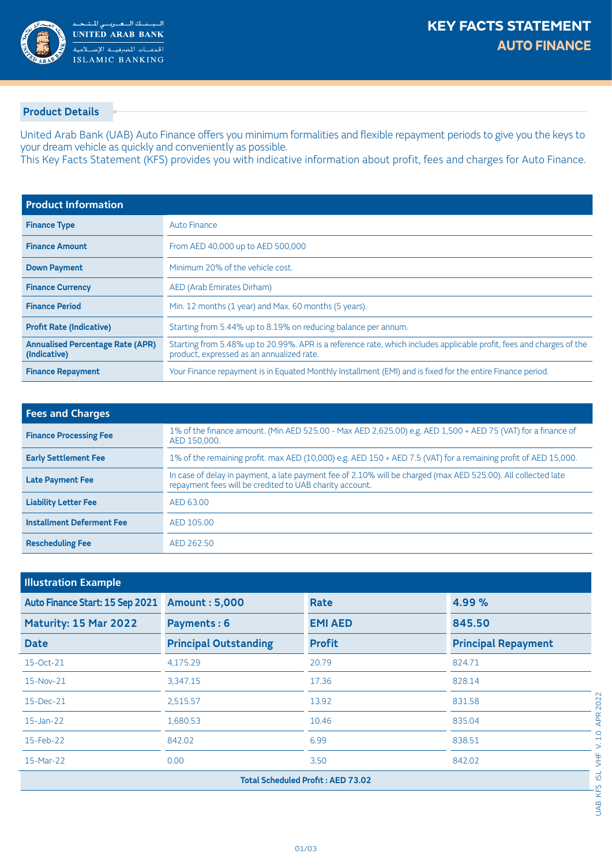

## **Product Details**

United Arab Bank (UAB) Auto Finance offers you minimum formalities and flexible repayment periods to give you the keys to your dream vehicle as quickly and conveniently as possible.

This Key Facts Statement (KFS) provides you with indicative information about profit, fees and charges for Auto Finance.

| <b>Product Information</b>                              |                                                                                                                                                                   |
|---------------------------------------------------------|-------------------------------------------------------------------------------------------------------------------------------------------------------------------|
| <b>Finance Type</b>                                     | Auto Finance                                                                                                                                                      |
| <b>Finance Amount</b>                                   | From AED 40,000 up to AED 500,000                                                                                                                                 |
| <b>Down Payment</b>                                     | Minimum 20% of the vehicle cost.                                                                                                                                  |
| <b>Finance Currency</b>                                 | AED (Arab Emirates Dirham)                                                                                                                                        |
| <b>Finance Period</b>                                   | Min. 12 months (1 year) and Max. 60 months (5 years).                                                                                                             |
| <b>Profit Rate (Indicative)</b>                         | Starting from 5.44% up to 8.19% on reducing balance per annum.                                                                                                    |
| <b>Annualised Percentage Rate (APR)</b><br>(Indicative) | Starting from 5.48% up to 20.99%. APR is a reference rate, which includes applicable profit, fees and charges of the<br>product, expressed as an annualized rate. |
| <b>Finance Repayment</b>                                | Your Finance repayment is in Equated Monthly Installment (EMI) and is fixed for the entire Finance period.                                                        |

| <b>Fees and Charges</b>          |                                                                                                                                                                          |
|----------------------------------|--------------------------------------------------------------------------------------------------------------------------------------------------------------------------|
| <b>Finance Processing Fee</b>    | 1% of the finance amount. (Min AED 525.00 - Max AED 2,625.00) e.g. AED 1,500 + AED 75 (VAT) for a finance of<br>AED 150,000.                                             |
| <b>Early Settlement Fee</b>      | 1% of the remaining profit. max AED (10,000) e.g. AED 150 + AED 7.5 (VAT) for a remaining profit of AED 15,000.                                                          |
| <b>Late Payment Fee</b>          | In case of delay in payment, a late payment fee of 2.10% will be charged (max AED 525.00). All collected late<br>repayment fees will be credited to UAB charity account. |
| <b>Liability Letter Fee</b>      | AED 63.00                                                                                                                                                                |
| <b>Installment Deferment Fee</b> | AED 105.00                                                                                                                                                               |
| <b>Rescheduling Fee</b>          | AED 262.50                                                                                                                                                               |

| <b>Illustration Example</b>              |                              |                |                            |  |
|------------------------------------------|------------------------------|----------------|----------------------------|--|
| Auto Finance Start: 15 Sep 2021          | <b>Amount: 5,000</b>         | Rate           | 4.99%                      |  |
| Maturity: 15 Mar 2022                    | Payments: 6                  | <b>EMI AED</b> | 845.50                     |  |
| <b>Date</b>                              | <b>Principal Outstanding</b> | <b>Profit</b>  | <b>Principal Repayment</b> |  |
| 15-Oct-21                                | 4,175.29                     | 20.79          | 824.71                     |  |
| 15-Nov-21                                | 3,347.15                     | 17.36          | 828.14                     |  |
| 15-Dec-21                                | 2,515.57                     | 13.92          | 831.58                     |  |
| $15$ -Jan-22                             | 1,680.53                     | 10.46          | 835.04                     |  |
| 15-Feb-22                                | 842.02                       | 6.99           | 838.51                     |  |
| 15-Mar-22                                | 0.00                         | 3.50           | 842.02                     |  |
| <b>Total Scheduled Profit: AED 73.02</b> |                              |                |                            |  |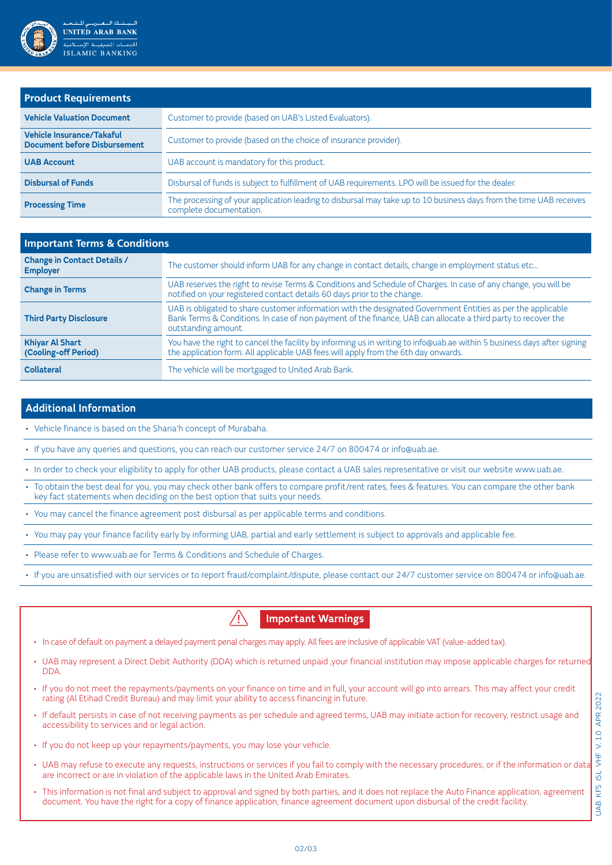

| <b>Product Requirements</b>                                             |                                                                                                                                               |
|-------------------------------------------------------------------------|-----------------------------------------------------------------------------------------------------------------------------------------------|
| <b>Vehicle Valuation Document</b>                                       | Customer to provide (based on UAB's Listed Evaluators).                                                                                       |
| <b>Vehicle Insurance/Takaful</b><br><b>Document before Disbursement</b> | Customer to provide (based on the choice of insurance provider).                                                                              |
| <b>UAB Account</b>                                                      | UAB account is mandatory for this product.                                                                                                    |
| <b>Disbursal of Funds</b>                                               | Disbursal of funds is subject to fulfillment of UAB requirements. LPO will be issued for the dealer.                                          |
| <b>Processing Time</b>                                                  | The processing of your application leading to disbursal may take up to 10 business days from the time UAB receives<br>complete documentation. |

| <b>Important Terms &amp; Conditions</b>               |                                                                                                                                                                                                                                                      |  |
|-------------------------------------------------------|------------------------------------------------------------------------------------------------------------------------------------------------------------------------------------------------------------------------------------------------------|--|
| <b>Change in Contact Details /</b><br><b>Employer</b> | The customer should inform UAB for any change in contact details, change in employment status etc                                                                                                                                                    |  |
| <b>Change in Terms</b>                                | UAB reserves the right to revise Terms & Conditions and Schedule of Charges. In case of any change, you will be<br>notified on your registered contact details 60 days prior to the change.                                                          |  |
| <b>Third Party Disclosure</b>                         | UAB is obligated to share customer information with the designated Government Entities as per the applicable<br>Bank Terms & Conditions. In case of non payment of the finance, UAB can allocate a third party to recover the<br>outstanding amount. |  |
| <b>Khiyar Al Shart</b><br>(Cooling-off Period)        | You have the right to cancel the facility by informing us in writing to info@uab.ae within 5 business days after signing<br>the application form. All applicable UAB fees will apply from the 6th day onwards.                                       |  |
| <b>Collateral</b>                                     | The vehicle will be mortgaged to United Arab Bank.                                                                                                                                                                                                   |  |

## **Additional Information**

Vehicle finance is based on the Sharia'h concept of Murabaha.

. If you have any queries and questions, you can reach our customer service 24/7 on 800474 or info@uab.ae.

. In order to check your eligibility to apply for other UAB products, please contact a UAB sales representative or visit our website www.uab.ae.

- To obtain the best deal for you, you may check other bank offers to compare profit/rent rates, fees & features. You can compare the other bank key fact statements when deciding on the best option that suits your needs.
- You may cancel the finance agreement post disbursal as per applicable terms and conditions.
- . You may pay your finance facility early by informing UAB, partial and early settlement is subject to approvals and applicable fee.
- Please refer to www.uab.ae for Terms & Conditions and Schedule of Charges.
- . If you are unsatisfied with our services or to report fraud/complaint/dispute, please contact our 24/7 customer service on 800474 or info@uab.ae.



- . In case of default on payment a delayed payment penal charges may apply. All fees are inclusive of applicable VAT (value-added tax).
- UAB may represent a Direct Debit Authority (DDA) which is returned unpaid ,your financial institution may impose applicable charges for returned .DDA
- If you do not meet the repayments/payments on your finance on time and in full, your account will go into arrears. This may affect your credit rating (Al Etihad Credit Bureau) and may limit your ability to access financing in future.
- If default persists in case of not receiving payments as per schedule and agreed terms, UAB may initiate action for recovery, restrict usage and accessibility to services and or legal action.
- If you do not keep up your repayments/payments, you may lose your vehicle.
- UAB may refuse to execute any requests, instructions or services if you fail to comply with the necessary procedures; or if the information or data are incorrect or are in violation of the applicable laws in the United Arab Emirates.
- This information is not final and subject to approval and signed by both parties, and it does not replace the Auto Finance application, agreement document. You have the right for a copy of finance application, finance agreement document upon disbursal of the credit facility.